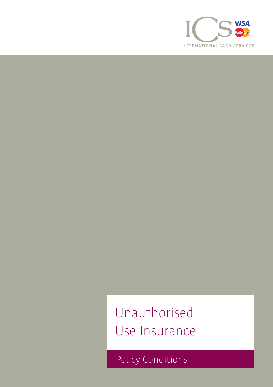

Unauthorised Use Insurance

Policy Conditions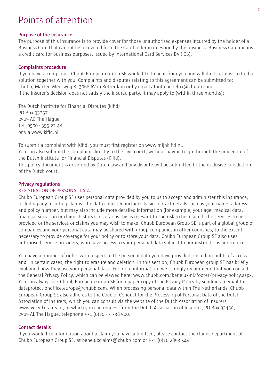# Points of attention

## **Purpose of the Insurance**

The purpose of this insurance is to provide cover for those unauthorised expenses incurred by the holder of a Business Card that cannot be recovered from the Cardholder in question by the business. Business Card means a credit card for business purposes, issued by International Card Services BV (ICS).

## **Complaints procedure**

If you have a complaint, Chubb European Group SE would like to hear from you and will do its utmost to find a solution together with you. Complaints and disputes relating to this agreement can be submitted to: Chubb, Marten Meesweg 8, 3068 AV in Rotterdam or by email at info.benelux@chubb.com. If the insurer's decision does not satisfy the insured party, it may apply to (within three months):

The Dutch Institute for Financial Disputes (Kifid) PO Box 93257 2509 AG The Hague Tel: 0900 - 355 22 48 or via www.kifid.nl

To submit a complaint with Kifid, you must first register on www.mijnkifid.nl.

You can also submit the complaint directly to the civil court, without having to go through the procedure of the Dutch Institute for Financial Disputes (Kifid).

This policy document is governed by Dutch law and any dispute will be submitted to the exclusive jurisdiction of the Dutch court.

## **Privacy regulations**

## REGISTRATION OF PERSONAL DATA

Chubb European Group SE uses personal data provided by you to us to accept and administer this insurance, including any resulting claims. The data collected includes basic contact details such as your name, address and policy number, but may also include more detailed information (for example, your age, medical data, financial situation or claims history) in so far as this is relevant to the risk to be insured, the services to be provided or the services or claims you may wish to make. Chubb European Group SE is part of a global group of companies and your personal data may be shared with group companies in other countries, to the extent necessary to provide coverage for your policy or to store your data. Chubb European Group SE also uses authorised service providers, who have access to your personal data subject to our instructions and control.

You have a number of rights with respect to the personal data you have provided, including rights of access and, in certain cases, the right to erasure and deletion. In this section, Chubb European group SE has briefly explained how they use your personal data. For more information, we strongly recommend that you consult the General Privacy Policy, which can be viewed here: www.chubb.com/benelux-nl/footer/privacy-policy.aspx. You can always ask Chubb European Group SE for a paper copy of the Privacy Policy by sending an email to dataprotectionoffice.europe@chubb.com. When processing personal data within The Netherlands, Chubb European Group SE also adheres to the Code of Conduct for the Processing of Personal Data of the Dutch Association of Insurers, which you can consult via the website of the Dutch Association of Insurers, www.verzekeraars.nl, or which you can request from the Dutch Association of Insurers, PO Box 93450, 2509 AL The Hague, telephone +31 (0)70 - 3 338 500.

#### **Contact details**

If you would like information about a claim you have submitted, please contact the claims department of Chubb European Group SE, at beneluxclaims@chubb.com or +31 (0)10 2893 545.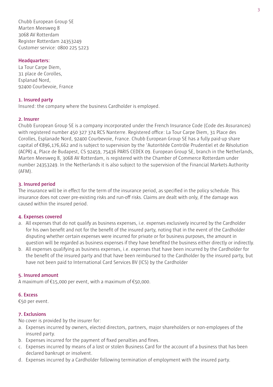Chubb European Group SE Marten Meesweg 8 3068 AV Rotterdam Register Rotterdam 24353249 Customer service: 0800 225 5223

# **Headquarters:**

La Tour Carpe Diem, 31 place de Corolles, Esplanad Nord, 92400 Courbevoie, France

# **1. Insured party**

Insured: the company where the business Cardholder is employed.

## **2. Insurer**

Chubb European Group SE is a company incorporated under the French Insurance Code (Code des Assurances) with registered number 450 327 374 RCS Nanterre. Registered office: La Tour Carpe Diem, 31 Place des Corolles, Esplanade Nord, 92400 Courbevoie, France. Chubb European Group SE has a fully paid-up share capital of €896,176,662 and is subject to supervision by the 'Autoritéde Contrôle Prudentiel et de Résolution (ACPR) 4, Place de Budapest, CS 92459, 75436 PARIS CEDEX 09. European Group SE, branch in the Netherlands, Marten Meesweg 8, 3068 AV Rotterdam, is registered with the Chamber of Commerce Rotterdam under number 24353249. In the Netherlands it is also subject to the supervision of the Financial Markets Authority (AFM).

## **3. Insured period**

The insurance will be in effect for the term of the insurance period, as specified in the policy schedule. This insurance does not cover pre-existing risks and run-off risks. Claims are dealt with only, if the damage was caused within the insured period.

#### **4. Expenses covered**

- a. All expenses that do not qualify as business expenses, i.e. expenses exclusively incurred by the Cardholder for his own benefit and not for the benefit of the insured party, noting that in the event of the Cardholder disputing whether certain expenses were incurred for private or for business purposes, the amount in question will be regarded as business expenses if they have benefited the business either directly or indirectly.
- b. All expenses qualifying as business expenses, i.e. expenses that have been incurred by the Cardholder for the benefit of the insured party and that have been reimbursed to the Cardholder by the insured party, but have not been paid to International Card Services BV (ICS) by the Cardholder

#### **5. Insured amount**

A maximum of  $E$ 15,000 per event, with a maximum of  $E$ 50,000.

# **6. Excess**

€50 per event.

# **7. Exclusions**

No cover is provided by the insurer for:

- a. Expenses incurred by owners, elected directors, partners, major shareholders or non-employees of the insured party.
- b. Expenses incurred for the payment of fixed penalties and fines.
- c. Expenses incurred by means of a lost or stolen Business Card for the account of a business that has been declared bankrupt or insolvent.
- d. Expenses incurred by a Cardholder following termination of employment with the insured party.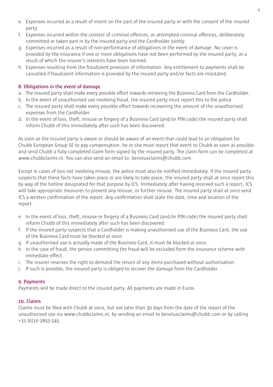- e. Expenses incurred as a result of intent on the part of the insured party or with the consent of the insured party.
- f. Expenses incurred within the context of criminal offences, or attempted criminal offences, deliberately committed or taken part in by the insured party and the Cardholder jointly.
- g. Expenses incurred as a result of non-performance of obligations in the event of damage. No cover is provided by the insurance if one or more obligations have not been performed by the insured party, as a result of which the insurer's interests have been harmed.
- h. Expenses resulting from the fraudulent provision of information. Any entitlement to payments shall be cancelled if fraudulent information is provided by the insured party and/or facts are misstated.

# **8. Obligations in the event of damage**

- a. The insured party shall make every possible effort towards retrieving the Business Card from the Cardholder.
- b. In the event of unauthorised use involving fraud, the insured party must report this to the police.
- c. The insured party shall make every possible effort towards recovering the amount of the unauthorised expenses from the Cardholder.
- d. In the event of loss, theft, misuse or forgery of a Business Card (and/or PIN code) the insured party shall inform Chubb of this immediately after such has been discovered.

As soon as the insured party is aware or should be aware of an event that could lead to an obligation for Chubb European Group SE to pay compensation, he or she must report that event to Chubb as soon as possible and send Chubb a fully completed claim form signed by the insured party. The claim form can be completed at www.chubbclaims.nl. You can also send an email to: beneluxclaims@chubb.com.

Except in cases of loss not involving misuse, the police must also be notified immediately. If the insured party suspects that these facts have taken place or are likely to take place, the insured party shall at once report this by way of the hotline designated for that purpose by ICS. Immediately after having received such a report, ICS will take appropriate measures to prevent any misuse, or further misuse. The insured party shall at once send ICS a written confirmation of the report. Any confirmation shall state the date, time and location of the report.

- e. In the event of loss, theft, misuse or forgery of a Business Card (and/or PIN code) the insured party shall inform Chubb of this immediately after such has been discovered.
- f. If the insured party suspects that a Cardholder is making unauthorised use of the Business Card, the use of the Business Card must be blocked at once.
- g. If unauthorised use is actually made of the Business Card, it must be blocked at once.
- h. In the case of fraud, the person committing the fraud will be excluded form the insurance scheme with immediate effect.
- i. The insurer reserves the right to demand the return of any items purchased without authorisation.
- j. If such is possible, the insured party is obliged to recover the damage from the Cardholder.

# **9. Payments**

Payments will be made direct to the insured party. All payments are made in Euros.

# **10. Claims**

Claims must be filed with Chubb at once, but not later than 30 days from the date of the report of the unauthorised use via www.chubbclaims.nl, by sending an email to beneluxclaims@chubb.com or by calling +31 (0)10 2893 545.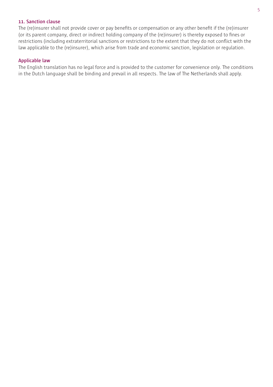# **11. Sanction clause**

The (re)insurer shall not provide cover or pay benefits or compensation or any other benefit if the (re)insurer (or its parent company, direct or indirect holding company of the (re)insurer) is thereby exposed to fines or restrictions (including extraterritorial sanctions or restrictions to the extent that they do not conflict with the law applicable to the (re)insurer), which arise from trade and economic sanction, legislation or regulation.

# **Applicable law**

The English translation has no legal force and is provided to the customer for convenience only. The conditions in the Dutch language shall be binding and prevail in all respects. The law of The Netherlands shall apply.